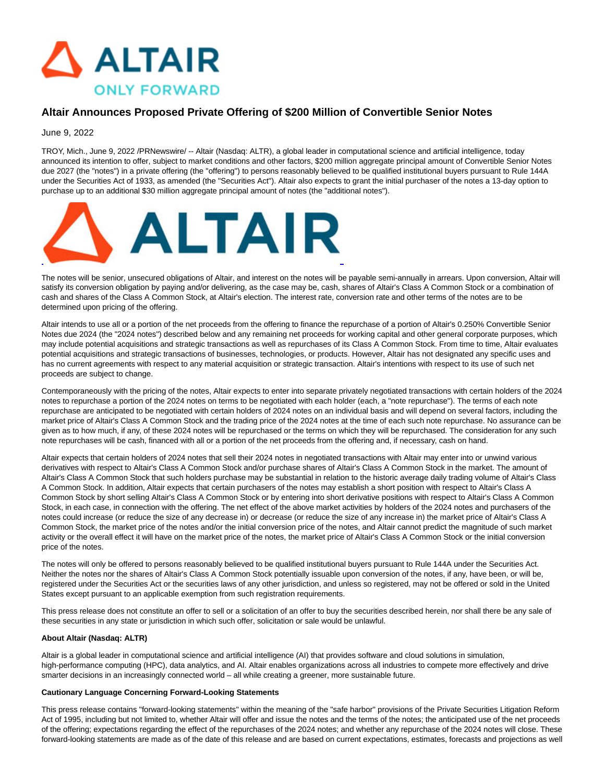

# **Altair Announces Proposed Private Offering of \$200 Million of Convertible Senior Notes**

## June 9, 2022

TROY, Mich., June 9, 2022 /PRNewswire/ -- Altair (Nasdaq: ALTR), a global leader in computational science and artificial intelligence, today announced its intention to offer, subject to market conditions and other factors, \$200 million aggregate principal amount of Convertible Senior Notes due 2027 (the "notes") in a private offering (the "offering") to persons reasonably believed to be qualified institutional buyers pursuant to Rule 144A under the Securities Act of 1933, as amended (the "Securities Act"). Altair also expects to grant the initial purchaser of the notes a 13-day option to purchase up to an additional \$30 million aggregate principal amount of notes (the "additional notes").



The notes will be senior, unsecured obligations of Altair, and interest on the notes will be payable semi-annually in arrears. Upon conversion, Altair will satisfy its conversion obligation by paying and/or delivering, as the case may be, cash, shares of Altair's Class A Common Stock or a combination of cash and shares of the Class A Common Stock, at Altair's election. The interest rate, conversion rate and other terms of the notes are to be determined upon pricing of the offering.

Altair intends to use all or a portion of the net proceeds from the offering to finance the repurchase of a portion of Altair's 0.250% Convertible Senior Notes due 2024 (the "2024 notes") described below and any remaining net proceeds for working capital and other general corporate purposes, which may include potential acquisitions and strategic transactions as well as repurchases of its Class A Common Stock. From time to time, Altair evaluates potential acquisitions and strategic transactions of businesses, technologies, or products. However, Altair has not designated any specific uses and has no current agreements with respect to any material acquisition or strategic transaction. Altair's intentions with respect to its use of such net proceeds are subject to change.

Contemporaneously with the pricing of the notes, Altair expects to enter into separate privately negotiated transactions with certain holders of the 2024 notes to repurchase a portion of the 2024 notes on terms to be negotiated with each holder (each, a "note repurchase"). The terms of each note repurchase are anticipated to be negotiated with certain holders of 2024 notes on an individual basis and will depend on several factors, including the market price of Altair's Class A Common Stock and the trading price of the 2024 notes at the time of each such note repurchase. No assurance can be given as to how much, if any, of these 2024 notes will be repurchased or the terms on which they will be repurchased. The consideration for any such note repurchases will be cash, financed with all or a portion of the net proceeds from the offering and, if necessary, cash on hand.

Altair expects that certain holders of 2024 notes that sell their 2024 notes in negotiated transactions with Altair may enter into or unwind various derivatives with respect to Altair's Class A Common Stock and/or purchase shares of Altair's Class A Common Stock in the market. The amount of Altair's Class A Common Stock that such holders purchase may be substantial in relation to the historic average daily trading volume of Altair's Class A Common Stock. In addition, Altair expects that certain purchasers of the notes may establish a short position with respect to Altair's Class A Common Stock by short selling Altair's Class A Common Stock or by entering into short derivative positions with respect to Altair's Class A Common Stock, in each case, in connection with the offering. The net effect of the above market activities by holders of the 2024 notes and purchasers of the notes could increase (or reduce the size of any decrease in) or decrease (or reduce the size of any increase in) the market price of Altair's Class A Common Stock, the market price of the notes and/or the initial conversion price of the notes, and Altair cannot predict the magnitude of such market activity or the overall effect it will have on the market price of the notes, the market price of Altair's Class A Common Stock or the initial conversion price of the notes.

The notes will only be offered to persons reasonably believed to be qualified institutional buyers pursuant to Rule 144A under the Securities Act. Neither the notes nor the shares of Altair's Class A Common Stock potentially issuable upon conversion of the notes, if any, have been, or will be, registered under the Securities Act or the securities laws of any other jurisdiction, and unless so registered, may not be offered or sold in the United States except pursuant to an applicable exemption from such registration requirements.

This press release does not constitute an offer to sell or a solicitation of an offer to buy the securities described herein, nor shall there be any sale of these securities in any state or jurisdiction in which such offer, solicitation or sale would be unlawful.

### **About Altair (Nasdaq: ALTR)**

Altair is a global leader in computational science and artificial intelligence (AI) that provides software and cloud solutions in simulation, high-performance computing (HPC), data analytics, and AI. Altair enables organizations across all industries to compete more effectively and drive smarter decisions in an increasingly connected world – all while creating a greener, more sustainable future.

#### **Cautionary Language Concerning Forward-Looking Statements**

This press release contains "forward-looking statements" within the meaning of the "safe harbor" provisions of the Private Securities Litigation Reform Act of 1995, including but not limited to, whether Altair will offer and issue the notes and the terms of the notes; the anticipated use of the net proceeds of the offering; expectations regarding the effect of the repurchases of the 2024 notes; and whether any repurchase of the 2024 notes will close. These forward-looking statements are made as of the date of this release and are based on current expectations, estimates, forecasts and projections as well